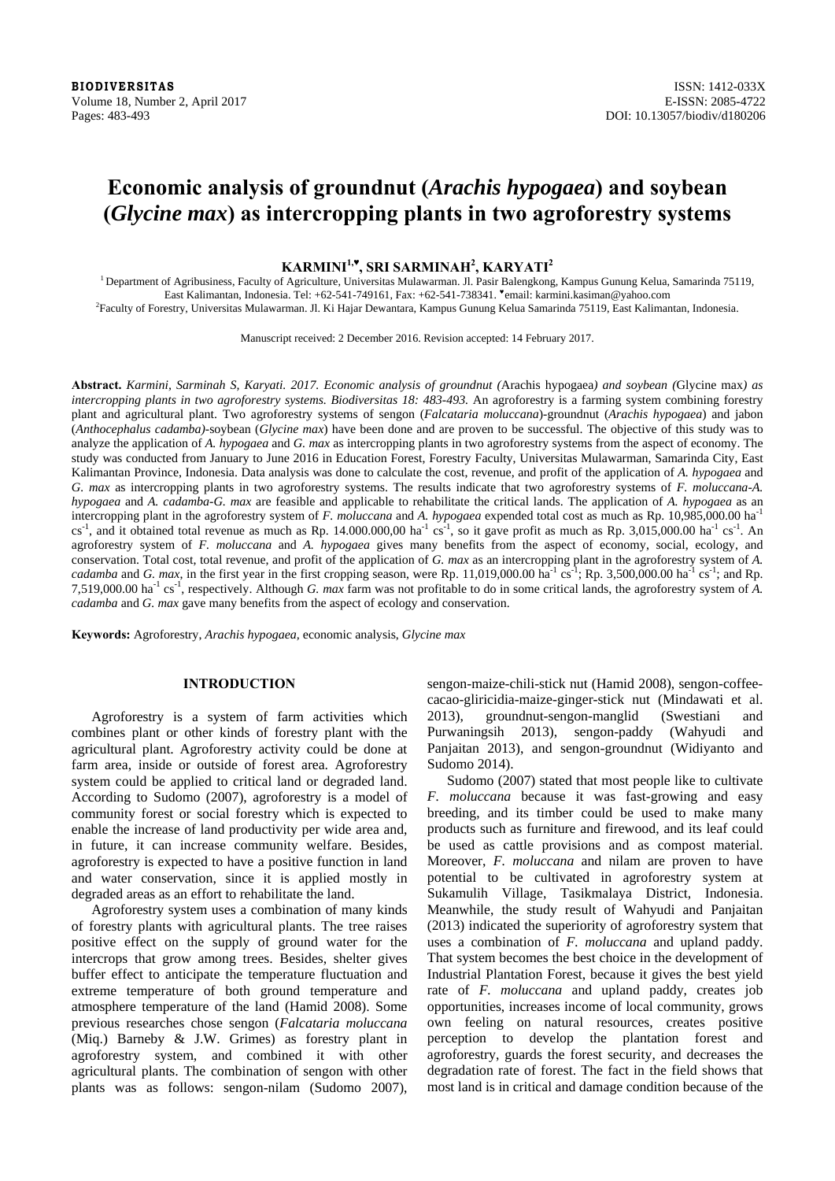**BIODIVERSITAS** ISSN: 1412-033X Volume 18, Number 2, April 2017 **E-ISSN: 2085-4722** Pages: 483-493 DOI: 10.13057/biodiv/d180206

# **Economic analysis of groundnut (***Arachis hypogaea***) and soybean (***Glycine max***) as intercropping plants in two agroforestry systems**

## **KARMINI1,♥ , SRI SARMINAH2 , KARYATI<sup>2</sup>**

<sup>1</sup> Department of Agribusiness, Faculty of Agriculture, Universitas Mulawarman. Jl. Pasir Balengkong, Kampus Gunung Kelua, Samarinda 75119, East Kalimantan, Indonesia. Tel: +62-541-749161, Fax: +62-541-738341. ♥email: karmini.kasiman@yahoo.com 2

Faculty of Forestry, Universitas Mulawarman. Jl. Ki Hajar Dewantara, Kampus Gunung Kelua Samarinda 75119, East Kalimantan, Indonesia.

Manuscript received: 2 December 2016. Revision accepted: 14 February 2017.

**Abstract.** *Karmini, Sarminah S, Karyati. 2017. Economic analysis of groundnut (*Arachis hypogaea*) and soybean (*Glycine max*) as intercropping plants in two agroforestry systems. Biodiversitas 18: 483-493.* An agroforestry is a farming system combining forestry plant and agricultural plant. Two agroforestry systems of sengon (*Falcataria moluccana*)-groundnut (*Arachis hypogaea*) and jabon (*Anthocephalus cadamba)-*soybean (*Glycine max*) have been done and are proven to be successful. The objective of this study was to analyze the application of *A. hypogaea* and *G. max* as intercropping plants in two agroforestry systems from the aspect of economy. The study was conducted from January to June 2016 in Education Forest, Forestry Faculty, Universitas Mulawarman, Samarinda City, East Kalimantan Province, Indonesia. Data analysis was done to calculate the cost, revenue, and profit of the application of *A. hypogaea* and *G. max* as intercropping plants in two agroforestry systems. The results indicate that two agroforestry systems of *F. moluccana-A. hypogaea* and *A. cadamba-G. max* are feasible and applicable to rehabilitate the critical lands. The application of *A. hypogaea* as an intercropping plant in the agroforestry system of *F. moluccana* and *A. hypogaea* expended total cost as much as Rp. 10,985,000.00 ha-1  $cs^{-1}$ , and it obtained total revenue as much as Rp. 14.000.000,00 ha<sup>-1</sup> cs<sup>-1</sup>, so it gave profit as much as Rp. 3,015,000.00 ha<sup>-1</sup> cs<sup>-1</sup>. An agroforestry system of *F. moluccana* and *A. hypogaea* gives many benefits from the aspect of economy, social, ecology, and conservation. Total cost, total revenue, and profit of the application of *G. max* as an intercropping plant in the agroforestry system of *A. cadamba* and *G. max*, in the first year in the first cropping season, were Rp. 11,019,000.00 ha<sup>-1</sup> cs<sup>-1</sup>; Rp. 3,500,000.00 ha<sup>-1</sup> cs<sup>-1</sup>; and Rp. 7,519,000.00 ha-1 cs-1, respectively. Although *G. max* farm was not profitable to do in some critical lands, the agroforestry system of *A. cadamba* and *G. max* gave many benefits from the aspect of ecology and conservation.

**Keywords:** Agroforestry, *Arachis hypogaea,* economic analysis, *Glycine max*

## **INTRODUCTION**

Agroforestry is a system of farm activities which combines plant or other kinds of forestry plant with the agricultural plant. Agroforestry activity could be done at farm area, inside or outside of forest area. Agroforestry system could be applied to critical land or degraded land. According to Sudomo (2007), agroforestry is a model of community forest or social forestry which is expected to enable the increase of land productivity per wide area and, in future, it can increase community welfare. Besides, agroforestry is expected to have a positive function in land and water conservation, since it is applied mostly in degraded areas as an effort to rehabilitate the land.

Agroforestry system uses a combination of many kinds of forestry plants with agricultural plants. The tree raises positive effect on the supply of ground water for the intercrops that grow among trees. Besides, shelter gives buffer effect to anticipate the temperature fluctuation and extreme temperature of both ground temperature and atmosphere temperature of the land (Hamid 2008). Some previous researches chose sengon (*Falcataria moluccana*  (Miq.) Barneby & J.W. Grimes) as forestry plant in agroforestry system, and combined it with other agricultural plants. The combination of sengon with other plants was as follows: sengon-nilam (Sudomo 2007),

sengon-maize-chili-stick nut (Hamid 2008), sengon-coffeecacao-gliricidia-maize-ginger-stick nut (Mindawati et al. 2013), groundnut-sengon-manglid (Swestiani and Purwaningsih 2013), sengon-paddy (Wahyudi and Panjaitan 2013), and sengon-groundnut (Widiyanto and Sudomo 2014).

Sudomo (2007) stated that most people like to cultivate *F. moluccana* because it was fast-growing and easy breeding, and its timber could be used to make many products such as furniture and firewood, and its leaf could be used as cattle provisions and as compost material. Moreover, *F. moluccana* and nilam are proven to have potential to be cultivated in agroforestry system at Sukamulih Village, Tasikmalaya District, Indonesia. Meanwhile, the study result of Wahyudi and Panjaitan (2013) indicated the superiority of agroforestry system that uses a combination of *F. moluccana* and upland paddy. That system becomes the best choice in the development of Industrial Plantation Forest, because it gives the best yield rate of *F. moluccana* and upland paddy, creates job opportunities, increases income of local community, grows own feeling on natural resources, creates positive perception to develop the plantation forest and agroforestry, guards the forest security, and decreases the degradation rate of forest. The fact in the field shows that most land is in critical and damage condition because of the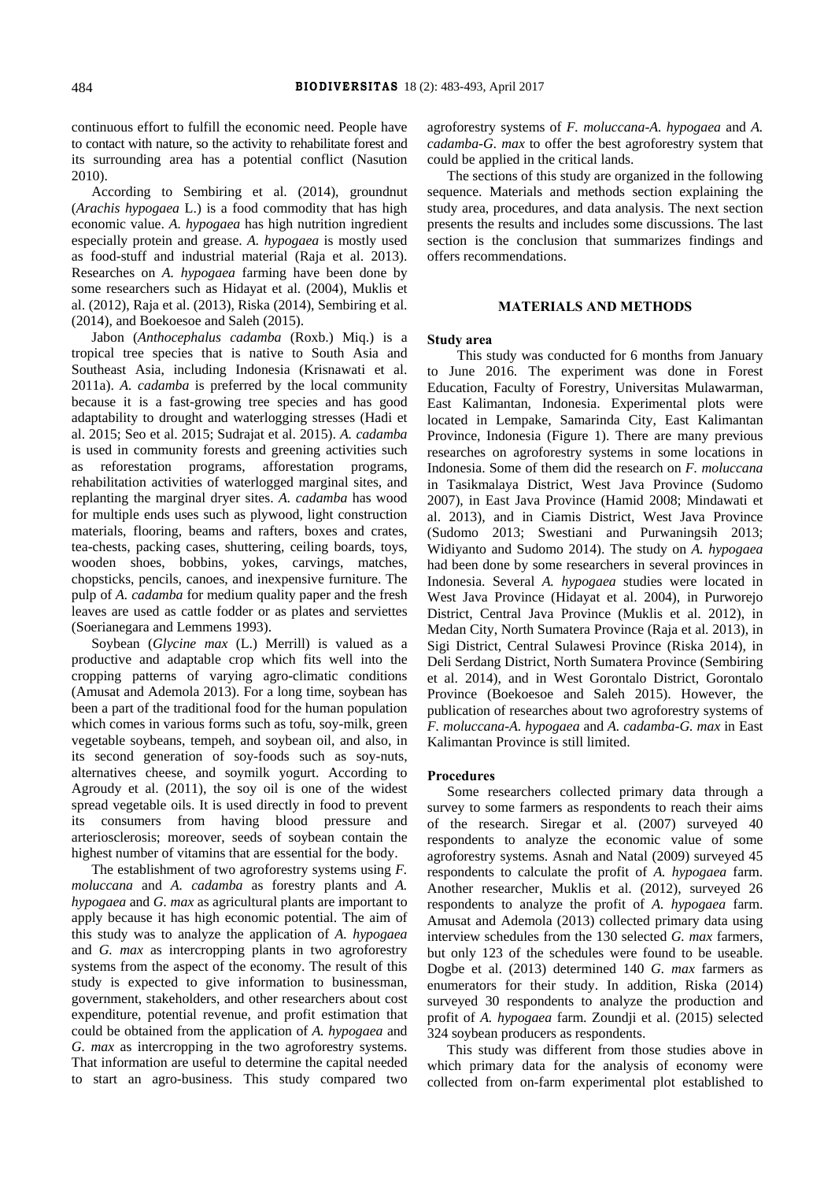continuous effort to fulfill the economic need. People have to contact with nature, so the activity to rehabilitate forest and its surrounding area has a potential conflict (Nasution 2010).

According to Sembiring et al. (2014), groundnut (*Arachis hypogaea* L.) is a food commodity that has high economic value. *A. hypogaea* has high nutrition ingredient especially protein and grease. *A. hypogaea* is mostly used as food-stuff and industrial material (Raja et al. 2013). Researches on *A. hypogaea* farming have been done by some researchers such as Hidayat et al. (2004), Muklis et al. (2012), Raja et al. (2013), Riska (2014), Sembiring et al. (2014), and Boekoesoe and Saleh (2015).

Jabon (*Anthocephalus cadamba* (Roxb.) Miq.) is a tropical tree species that is native to South Asia and Southeast Asia, including Indonesia (Krisnawati et al. 2011a). *A. cadamba* is preferred by the local community because it is a fast-growing tree species and has good adaptability to drought and waterlogging stresses (Hadi et al. 2015; Seo et al. 2015; Sudrajat et al. 2015). *A. cadamba*  is used in community forests and greening activities such as reforestation programs, afforestation programs, rehabilitation activities of waterlogged marginal sites, and replanting the marginal dryer sites. *A. cadamba* has wood for multiple ends uses such as plywood, light construction materials, flooring, beams and rafters, boxes and crates, tea-chests, packing cases, shuttering, ceiling boards, toys, wooden shoes, bobbins, yokes, carvings, matches, chopsticks, pencils, canoes, and inexpensive furniture. The pulp of *A. cadamba* for medium quality paper and the fresh leaves are used as cattle fodder or as plates and serviettes (Soerianegara and Lemmens 1993).

Soybean (*Glycine max* (L.) Merrill) is valued as a productive and adaptable crop which fits well into the cropping patterns of varying agro-climatic conditions (Amusat and Ademola 2013). For a long time, soybean has been a part of the traditional food for the human population which comes in various forms such as tofu, soy-milk, green vegetable soybeans, tempeh, and soybean oil, and also, in its second generation of soy-foods such as soy-nuts, alternatives cheese, and soymilk yogurt. According to Agroudy et al. (2011), the soy oil is one of the widest spread vegetable oils. It is used directly in food to prevent its consumers from having blood pressure and arteriosclerosis; moreover, seeds of soybean contain the highest number of vitamins that are essential for the body.

The establishment of two agroforestry systems using *F. moluccana* and *A. cadamba* as forestry plants and *A. hypogaea* and *G. max* as agricultural plants are important to apply because it has high economic potential. The aim of this study was to analyze the application of *A. hypogaea* and *G. max* as intercropping plants in two agroforestry systems from the aspect of the economy. The result of this study is expected to give information to businessman, government, stakeholders, and other researchers about cost expenditure, potential revenue, and profit estimation that could be obtained from the application of *A. hypogaea* and *G. max* as intercropping in the two agroforestry systems. That information are useful to determine the capital needed to start an agro-business. This study compared two agroforestry systems of *F. moluccana-A. hypogaea* and *A. cadamba-G. max* to offer the best agroforestry system that could be applied in the critical lands.

The sections of this study are organized in the following sequence. Materials and methods section explaining the study area, procedures, and data analysis. The next section presents the results and includes some discussions. The last section is the conclusion that summarizes findings and offers recommendations.

#### **MATERIALS AND METHODS**

#### **Study area**

This study was conducted for 6 months from January to June 2016. The experiment was done in Forest Education, Faculty of Forestry, Universitas Mulawarman, East Kalimantan, Indonesia. Experimental plots were located in Lempake, Samarinda City, East Kalimantan Province, Indonesia (Figure 1). There are many previous researches on agroforestry systems in some locations in Indonesia. Some of them did the research on *F. moluccana* in Tasikmalaya District, West Java Province (Sudomo 2007), in East Java Province (Hamid 2008; Mindawati et al. 2013), and in Ciamis District, West Java Province (Sudomo 2013; Swestiani and Purwaningsih 2013; Widiyanto and Sudomo 2014). The study on *A. hypogaea* had been done by some researchers in several provinces in Indonesia. Several *A. hypogaea* studies were located in West Java Province (Hidayat et al. 2004), in Purworejo District, Central Java Province (Muklis et al. 2012), in Medan City, North Sumatera Province (Raja et al. 2013), in Sigi District, Central Sulawesi Province (Riska 2014), in Deli Serdang District, North Sumatera Province (Sembiring et al. 2014), and in West Gorontalo District, Gorontalo Province (Boekoesoe and Saleh 2015). However, the publication of researches about two agroforestry systems of *F. moluccana-A. hypogaea* and *A. cadamba-G. max* in East Kalimantan Province is still limited.

#### **Procedures**

Some researchers collected primary data through a survey to some farmers as respondents to reach their aims of the research. Siregar et al. (2007) surveyed 40 respondents to analyze the economic value of some agroforestry systems. Asnah and Natal (2009) surveyed 45 respondents to calculate the profit of *A. hypogaea* farm. Another researcher, Muklis et al. (2012), surveyed 26 respondents to analyze the profit of *A. hypogaea* farm. Amusat and Ademola (2013) collected primary data using interview schedules from the 130 selected *G. max* farmers, but only 123 of the schedules were found to be useable. Dogbe et al. (2013) determined 140 *G. max* farmers as enumerators for their study. In addition, Riska (2014) surveyed 30 respondents to analyze the production and profit of *A. hypogaea* farm. Zoundji et al. (2015) selected 324 soybean producers as respondents.

This study was different from those studies above in which primary data for the analysis of economy were collected from on-farm experimental plot established to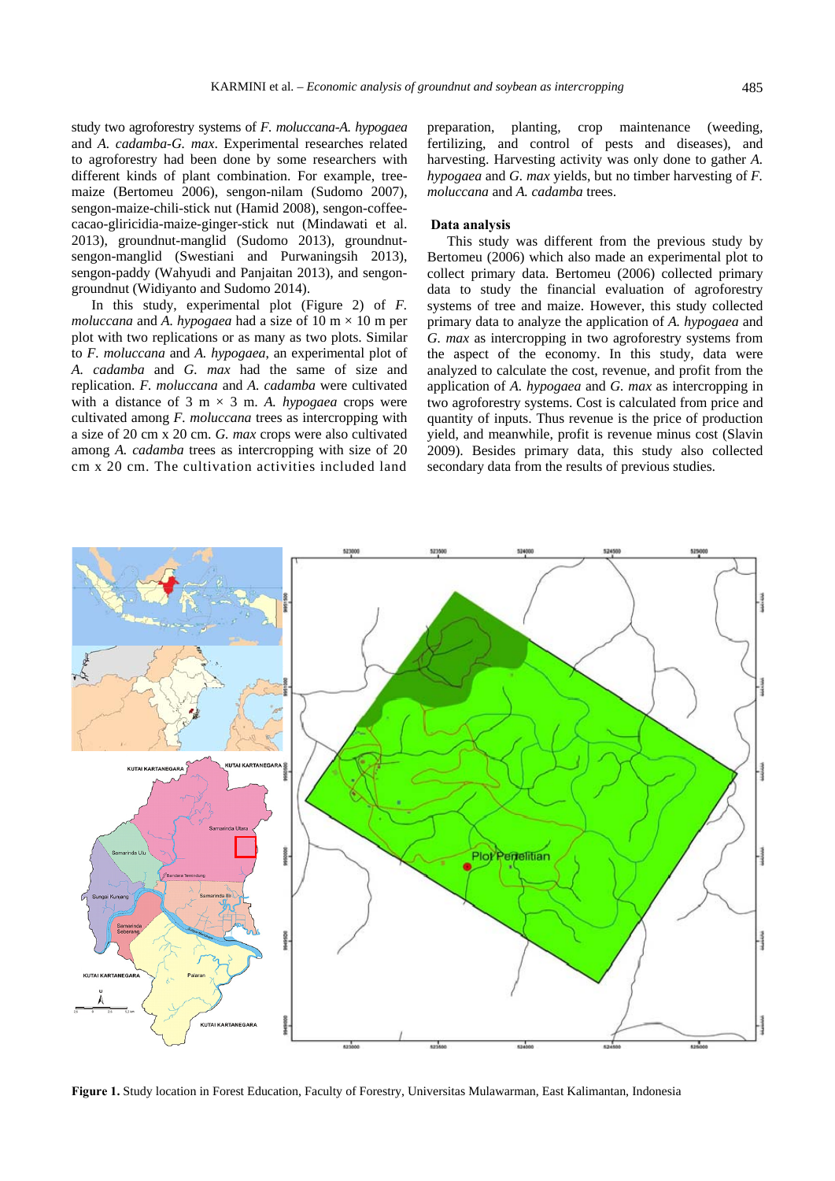study two agroforestry systems of *F. moluccana-A. hypogaea*  and *A. cadamba-G. max*. Experimental researches related to agroforestry had been done by some researchers with different kinds of plant combination. For example, treemaize (Bertomeu 2006), sengon-nilam (Sudomo 2007), sengon-maize-chili-stick nut (Hamid 2008), sengon-coffeecacao-gliricidia-maize-ginger-stick nut (Mindawati et al. 2013), groundnut-manglid (Sudomo 2013), groundnutsengon-manglid (Swestiani and Purwaningsih 2013), sengon-paddy (Wahyudi and Panjaitan 2013), and sengon-

groundnut (Widiyanto and Sudomo 2014). In this study, experimental plot (Figure 2) of *F. moluccana* and A. hypogaea had a size of 10 m  $\times$  10 m per plot with two replications or as many as two plots. Similar to *F. moluccana* and *A. hypogaea*, an experimental plot of *A. cadamba* and *G. max* had the same of size and replication. *F. moluccana* and *A. cadamba* were cultivated with a distance of 3 m  $\times$  3 m. *A. hypogaea* crops were cultivated among *F. moluccana* trees as intercropping with a size of 20 cm x 20 cm. *G. max* crops were also cultivated among *A. cadamba* trees as intercropping with size of 20 cm x 20 cm. The cultivation activities included land

preparation, planting, crop maintenance (weeding, fertilizing, and control of pests and diseases), and harvesting. Harvesting activity was only done to gather *A. hypogaea* and *G. max* yields, but no timber harvesting of *F. moluccana* and *A. cadamba* trees.

### **Data analysis**

This study was different from the previous study by Bertomeu (2006) which also made an experimental plot to collect primary data. Bertomeu (2006) collected primary data to study the financial evaluation of agroforestry systems of tree and maize. However, this study collected primary data to analyze the application of *A. hypogaea* and *G. max* as intercropping in two agroforestry systems from the aspect of the economy. In this study, data were analyzed to calculate the cost, revenue, and profit from the application of *A. hypogaea* and *G. max* as intercropping in two agroforestry systems. Cost is calculated from price and quantity of inputs. Thus revenue is the price of production yield, and meanwhile, profit is revenue minus cost (Slavin 2009). Besides primary data, this study also collected secondary data from the results of previous studies.



**Figure 1.** Study location in Forest Education, Faculty of Forestry, Universitas Mulawarman, East Kalimantan, Indonesia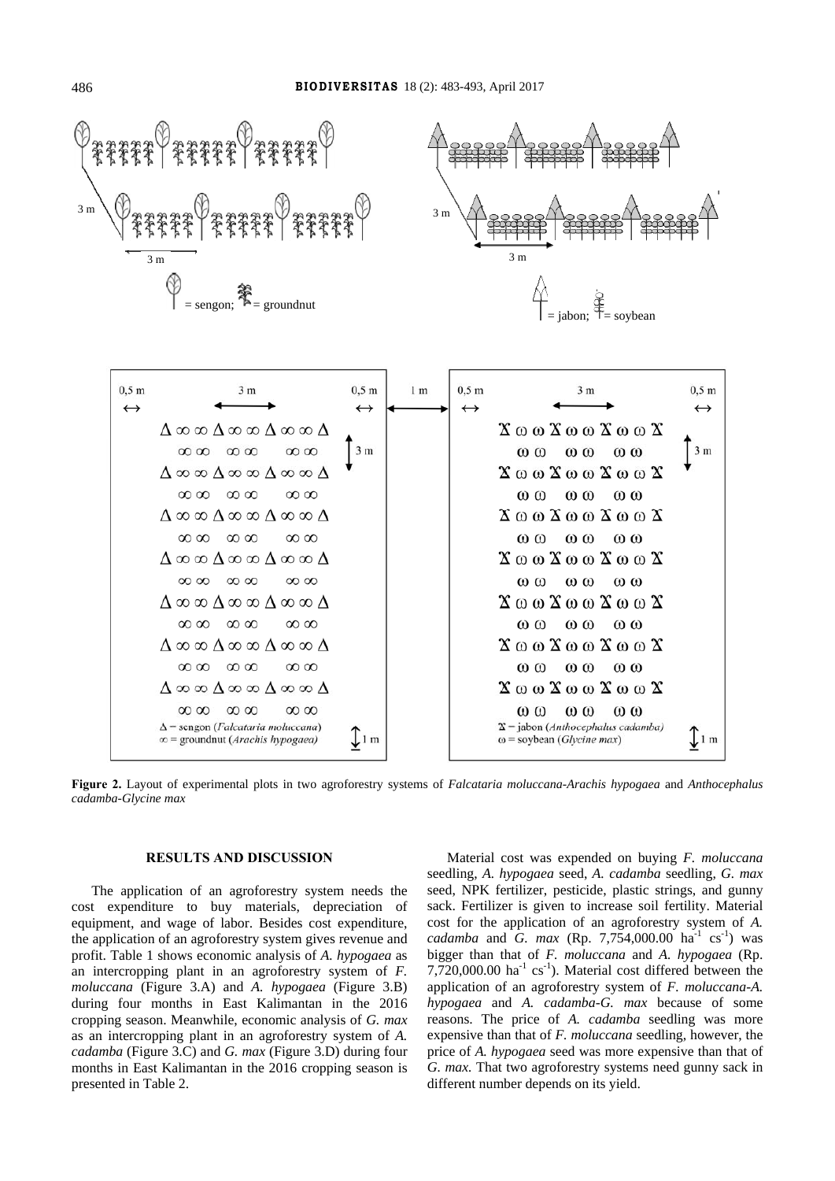

**Figure 2.** Layout of experimental plots in two agroforestry systems of *Falcataria moluccana-Arachis hypogaea* and *Anthocephalus cadamba-Glycine max* 

#### **RESULTS AND DISCUSSION**

The application of an agroforestry system needs the cost expenditure to buy materials, depreciation of equipment, and wage of labor. Besides cost expenditure, the application of an agroforestry system gives revenue and profit. Table 1 shows economic analysis of *A. hypogaea* as an intercropping plant in an agroforestry system of *F. moluccana* (Figure 3.A) and *A. hypogaea* (Figure 3.B) during four months in East Kalimantan in the 2016 cropping season. Meanwhile, economic analysis of *G. max* as an intercropping plant in an agroforestry system of *A. cadamba* (Figure 3.C) and *G. max* (Figure 3.D) during four months in East Kalimantan in the 2016 cropping season is presented in Table 2.

Material cost was expended on buying *F. moluccana* seedling, *A. hypogaea* seed, *A. cadamba* seedling, *G. max*  seed, NPK fertilizer, pesticide, plastic strings, and gunny sack. Fertilizer is given to increase soil fertility. Material cost for the application of an agroforestry system of *A. cadamba* and *G. max* (Rp. 7,754,000.00 ha<sup>-1</sup> cs<sup>-1</sup>) was bigger than that of *F. moluccana* and *A. hypogaea* (Rp. 7,720,000.00  $\text{ha}^{-1} \text{ cs}^{-1}$ ). Material cost differed between the application of an agroforestry system of *F. moluccana*-*A. hypogaea* and *A. cadamba*-*G. max* because of some reasons. The price of *A. cadamba* seedling was more expensive than that of *F. moluccana* seedling, however, the price of *A. hypogaea* seed was more expensive than that of *G. max.* That two agroforestry systems need gunny sack in different number depends on its yield.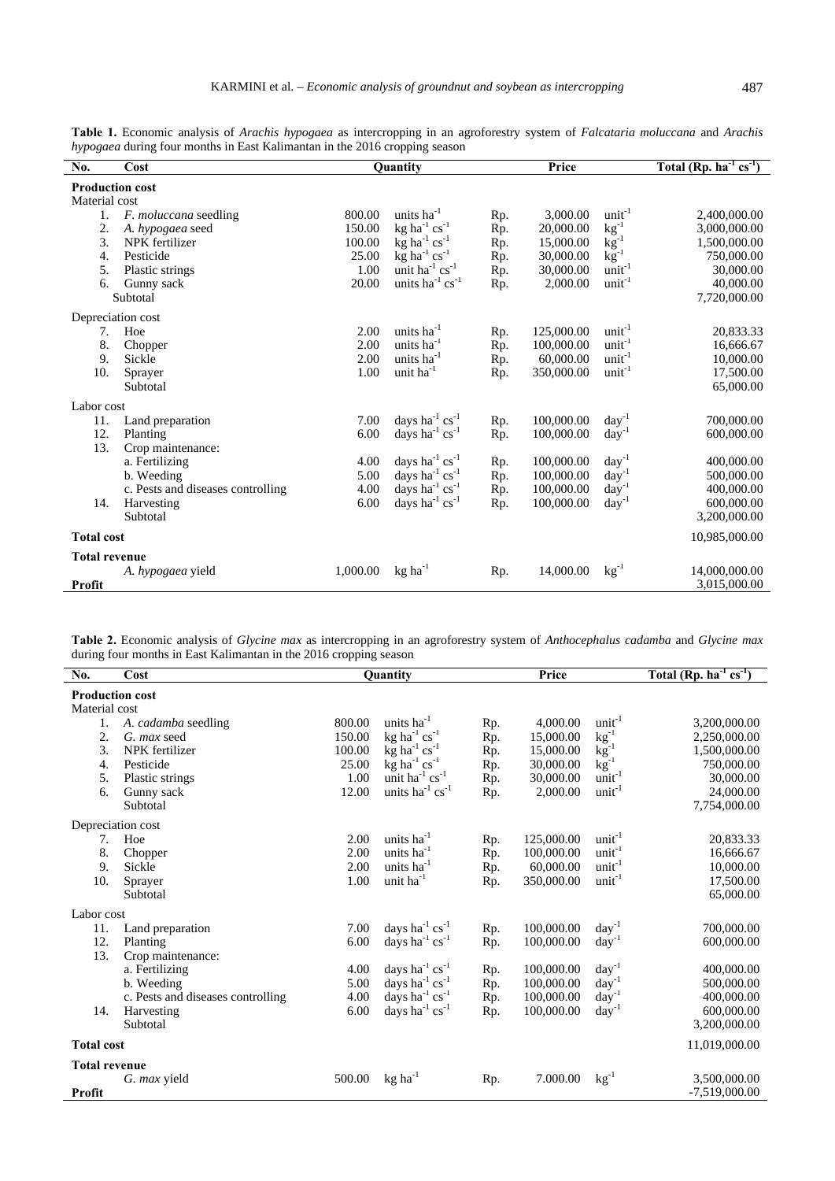| <b>Production cost</b><br>Material cost<br>1.<br>2.<br>3.<br>4.<br>5.<br>6. | F. moluccana seedling<br>A. hypogaea seed<br>NPK fertilizer<br>Pesticide<br>Plastic strings<br>Gunny sack<br>Subtotal                | 800.00<br>150.00<br>100.00<br>25.00<br>1.00<br>20.00 | units ha <sup>-1</sup><br>$kg$ ha <sup>-1</sup> cs <sup>-1</sup><br>$kg$ ha <sup>-1</sup> cs <sup>-1</sup><br>$kg$ ha <sup>-1</sup> cs <sup>-1</sup><br>unit ha <sup>-1</sup> cs <sup>-1</sup><br>units $ha^{-1} cs^{-1}$ | Rp.<br>Rp.<br>Rp.<br>Rp.<br>Rp.<br>Rp. | 3,000.00<br>20,000.00<br>15,000.00<br>30,000.00<br>30,000.00<br>2,000.00         | $unit-1$<br>$kg^{-1}$<br>$kg^{-1}$<br>$kg^{-1}$<br>$unit-1$<br>$unit-1$          | 2,400,000.00<br>3,000,000.00<br>1,500,000.00<br>750,000.00<br>30,000.00<br>40,000.00<br>7,720,000.00 |
|-----------------------------------------------------------------------------|--------------------------------------------------------------------------------------------------------------------------------------|------------------------------------------------------|---------------------------------------------------------------------------------------------------------------------------------------------------------------------------------------------------------------------------|----------------------------------------|----------------------------------------------------------------------------------|----------------------------------------------------------------------------------|------------------------------------------------------------------------------------------------------|
|                                                                             | Depreciation cost                                                                                                                    |                                                      |                                                                                                                                                                                                                           |                                        |                                                                                  |                                                                                  |                                                                                                      |
| 7.<br>8.<br>9.<br>10.                                                       | Hoe<br>Chopper<br>Sickle<br>Sprayer<br>Subtotal                                                                                      | 2.00<br>2.00<br>2.00<br>1.00                         | units $ha^{-1}$<br>units ha <sup>-1</sup><br>units ha <sup>-1</sup><br>unit ha <sup>-1</sup>                                                                                                                              | Rp.<br>Rp.<br>Rp.<br>Rp.               | 125,000.00<br>100,000.00<br>60,000.00<br>350,000.00                              | $unit-1$<br>$unit-1$<br>$unit-1$<br>$unit-1$                                     | 20,833.33<br>16,666.67<br>10,000.00<br>17,500.00<br>65,000.00                                        |
| Labor cost                                                                  |                                                                                                                                      |                                                      |                                                                                                                                                                                                                           |                                        |                                                                                  |                                                                                  |                                                                                                      |
| 11.<br>12.<br>13.<br>14.                                                    | Land preparation<br>Planting<br>Crop maintenance:<br>a. Fertilizing<br>b. Weeding<br>c. Pests and diseases controlling<br>Harvesting | 7.00<br>6.00<br>4.00<br>5.00<br>4.00<br>6.00         | days ha <sup>-1</sup> $cs^{-1}$<br>days ha <sup>-1</sup> $cs^{-1}$<br>days ha $^{-1}$ cs <sup>-1</sup><br>days ha <sup>-1</sup> $cs^{-1}$<br>days ha $^{-1}$ cs $^{-1}$<br>days ha 1 cs <sup>-1</sup>                     | Rp.<br>Rp.<br>Rp.<br>Rp.<br>Rp.<br>Rp. | 100,000.00<br>100,000.00<br>100,000.00<br>100,000.00<br>100,000.00<br>100,000.00 | $day^{-1}$<br>$day^{-1}$<br>$day^{-1}$<br>$day^{-1}$<br>$day^{-1}$<br>$day^{-1}$ | 700,000.00<br>600,000.00<br>400,000.00<br>500,000.00<br>400,000.00<br>600,000.00                     |
|                                                                             | Subtotal                                                                                                                             |                                                      |                                                                                                                                                                                                                           |                                        |                                                                                  |                                                                                  | 3,200,000.00                                                                                         |
| <b>Total cost</b>                                                           |                                                                                                                                      |                                                      |                                                                                                                                                                                                                           |                                        |                                                                                  | 10,985,000.00                                                                    |                                                                                                      |
| <b>Total revenue</b>                                                        |                                                                                                                                      |                                                      |                                                                                                                                                                                                                           |                                        |                                                                                  |                                                                                  |                                                                                                      |
| Profit                                                                      | A. hypogaea yield                                                                                                                    | 1,000.00                                             | $kg$ ha <sup>-1</sup>                                                                                                                                                                                                     | Rp.                                    | 14,000.00                                                                        | $kg^{-1}$                                                                        | 14,000,000.00<br>3,015,000.00                                                                        |

**Table 2.** Economic analysis of *Glycine max* as intercropping in an agroforestry system of *Anthocephalus cadamba* and *Glycine max* during four months in East Kalimantan in the 2016 cropping season

| No.                    | Cost                              |        | Quantity                               |     | Price      |                    | Total (Rp. $ha^{-1} cs^{-1}$ ) |
|------------------------|-----------------------------------|--------|----------------------------------------|-----|------------|--------------------|--------------------------------|
| <b>Production cost</b> |                                   |        |                                        |     |            |                    |                                |
| Material cost          |                                   |        |                                        |     |            |                    |                                |
| 1.                     | A. cadamba seedling               | 800.00 | units $ha^{-1}$                        | Rp. | 4,000.00   | $unit-1$           | 3,200,000.00                   |
| 2.                     | G. max seed                       | 150.00 | $kg$ ha <sup>-1</sup> cs <sup>-1</sup> | Rp. | 15,000.00  | $kg^{-1}$          | 2,250,000.00                   |
| 3.                     | NPK fertilizer                    | 100.00 | $kg$ ha <sup>-1</sup> cs <sup>-1</sup> | Rp. | 15,000.00  | $k\bar{g}^{-1}$    | 1,500,000.00                   |
| 4.                     | Pesticide                         | 25.00  | $kg$ ha <sup>-1</sup> cs <sup>-1</sup> | Rp. | 30,000.00  | $kg^{-1}$          | 750,000.00                     |
| 5.                     | Plastic strings                   | 1.00   | unit ha $^{-1}$ cs <sup>-1</sup>       | Rp. | 30,000.00  | $\text{unit}^{-1}$ | 30,000.00                      |
| 6.                     | Gunny sack                        | 12.00  | units $ha^{-1} cs^{-1}$                | Rp. | 2,000.00   | $unit-1$           | 24,000.00                      |
|                        | Subtotal                          |        |                                        |     |            |                    | 7,754,000.00                   |
|                        | Depreciation cost                 |        |                                        |     |            |                    |                                |
| 7.                     | Hoe                               | 2.00   | units $ha^{-1}$                        | Rp. | 125,000.00 | $unit-1$           | 20,833.33                      |
| 8.                     | Chopper                           | 2.00   | units ha <sup>-1</sup>                 | Rp. | 100,000.00 | $unit-1$           | 16,666.67                      |
| 9.                     | Sickle                            | 2.00   | units ha <sup>-1</sup>                 | Rp. | 60,000.00  | $unit-1$           | 10,000.00                      |
| 10.                    | Sprayer                           | 1.00   | unit ha <sup>-1</sup>                  | Rp. | 350,000.00 | $unit-1$           | 17,500.00                      |
|                        | Subtotal                          |        |                                        |     |            |                    | 65,000.00                      |
| Labor cost             |                                   |        |                                        |     |            |                    |                                |
| 11.                    | Land preparation                  | 7.00   | days ha <sup>-1</sup> $cs^{-1}$        | Rp. | 100,000.00 | $day^{-1}$         | 700,000.00                     |
| 12.                    | Planting                          | 6.00   | days ha $^{-1}$ cs <sup>-1</sup>       | Rp. | 100,000.00 | $day^{-1}$         | 600,000.00                     |
| 13.                    | Crop maintenance:                 |        |                                        |     |            |                    |                                |
|                        | a. Fertilizing                    | 4.00   | days ha $^{-1}$ cs <sup>-1</sup>       | Rp. | 100,000.00 | $day^{-1}$         | 400,000.00                     |
|                        | b. Weeding                        | 5.00   | days ha $^{-1}$ cs <sup>-1</sup>       | Rp. | 100,000.00 | $day^{-1}$         | 500,000.00                     |
|                        | c. Pests and diseases controlling | 4.00   | days ha $^{-1}$ cs <sup>-1</sup>       | Rp. | 100,000.00 | $day^{-1}$         | 400,000.00                     |
| 14.                    | Harvesting                        | 6.00   | days ha <sup>-1</sup> cs <sup>-1</sup> | Rp. | 100,000.00 | $day^{-1}$         | 600,000.00                     |
|                        | Subtotal                          |        |                                        |     |            |                    | 3,200,000.00                   |
| <b>Total cost</b>      |                                   |        |                                        |     |            |                    | 11,019,000.00                  |
| <b>Total revenue</b>   |                                   |        |                                        |     |            |                    |                                |
|                        | G. max yield                      | 500.00 | $kg$ ha <sup>-1</sup>                  | Rp. | 7.000.00   | $kg^{-1}$          | 3,500,000.00                   |
| Profit                 |                                   |        |                                        |     |            |                    | $-7,519,000.00$                |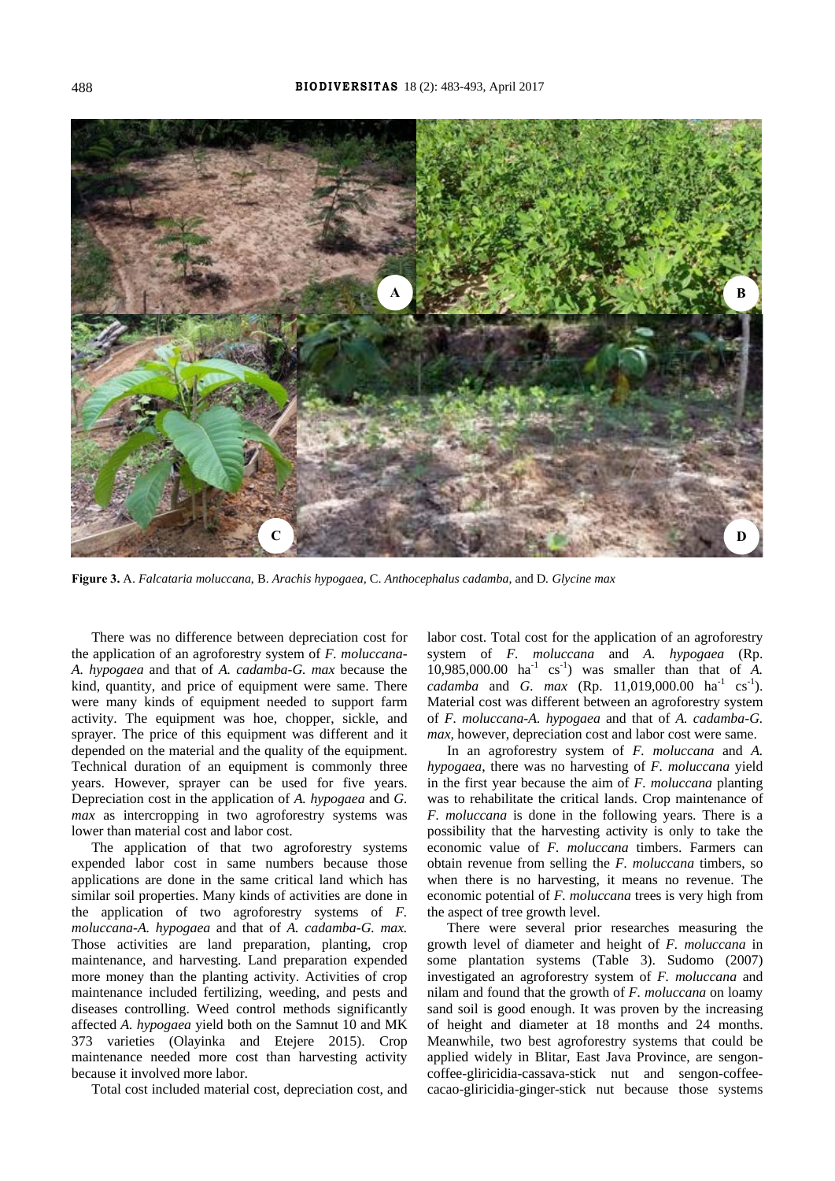

**Figure 3.** A. *Falcataria moluccana*, B. *Arachis hypogaea,* C. *Anthocephalus cadamba,* and D*. Glycine max* 

There was no difference between depreciation cost for the application of an agroforestry system of *F. moluccana*-*A. hypogaea* and that of *A. cadamba*-*G. max* because the kind, quantity, and price of equipment were same. There were many kinds of equipment needed to support farm activity. The equipment was hoe, chopper, sickle, and sprayer. The price of this equipment was different and it depended on the material and the quality of the equipment. Technical duration of an equipment is commonly three years. However, sprayer can be used for five years. Depreciation cost in the application of *A. hypogaea* and *G. max* as intercropping in two agroforestry systems was lower than material cost and labor cost.

The application of that two agroforestry systems expended labor cost in same numbers because those applications are done in the same critical land which has similar soil properties. Many kinds of activities are done in the application of two agroforestry systems of *F. moluccana*-*A. hypogaea* and that of *A. cadamba*-*G. max.*  Those activities are land preparation, planting, crop maintenance, and harvesting. Land preparation expended more money than the planting activity. Activities of crop maintenance included fertilizing, weeding, and pests and diseases controlling. Weed control methods significantly affected *A. hypogaea* yield both on the Samnut 10 and MK 373 varieties (Olayinka and Etejere 2015). Crop maintenance needed more cost than harvesting activity because it involved more labor.

Total cost included material cost, depreciation cost, and

labor cost. Total cost for the application of an agroforestry system of *F. moluccana* and *A. hypogaea* (Rp.  $10,985,000.00$  ha<sup>-1</sup> cs<sup>-1</sup>) was smaller than that of *A*. *cadamba* and *G. max* (Rp. 11,019,000.00 ha<sup>-1</sup> cs<sup>-1</sup>). Material cost was different between an agroforestry system of *F. moluccana*-*A. hypogaea* and that of *A. cadamba*-*G. max,* however, depreciation cost and labor cost were same.

In an agroforestry system of *F. moluccana* and *A. hypogaea*, there was no harvesting of *F. moluccana* yield in the first year because the aim of *F. moluccana* planting was to rehabilitate the critical lands. Crop maintenance of *F. moluccana* is done in the following years. There is a possibility that the harvesting activity is only to take the economic value of *F. moluccana* timbers. Farmers can obtain revenue from selling the *F. moluccana* timbers, so when there is no harvesting, it means no revenue. The economic potential of *F. moluccana* trees is very high from the aspect of tree growth level.

There were several prior researches measuring the growth level of diameter and height of *F. moluccana* in some plantation systems (Table 3). Sudomo (2007) investigated an agroforestry system of *F. moluccana* and nilam and found that the growth of *F. moluccana* on loamy sand soil is good enough. It was proven by the increasing of height and diameter at 18 months and 24 months. Meanwhile, two best agroforestry systems that could be applied widely in Blitar, East Java Province, are sengoncoffee-gliricidia-cassava-stick nut and sengon-coffeecacao-gliricidia-ginger-stick nut because those systems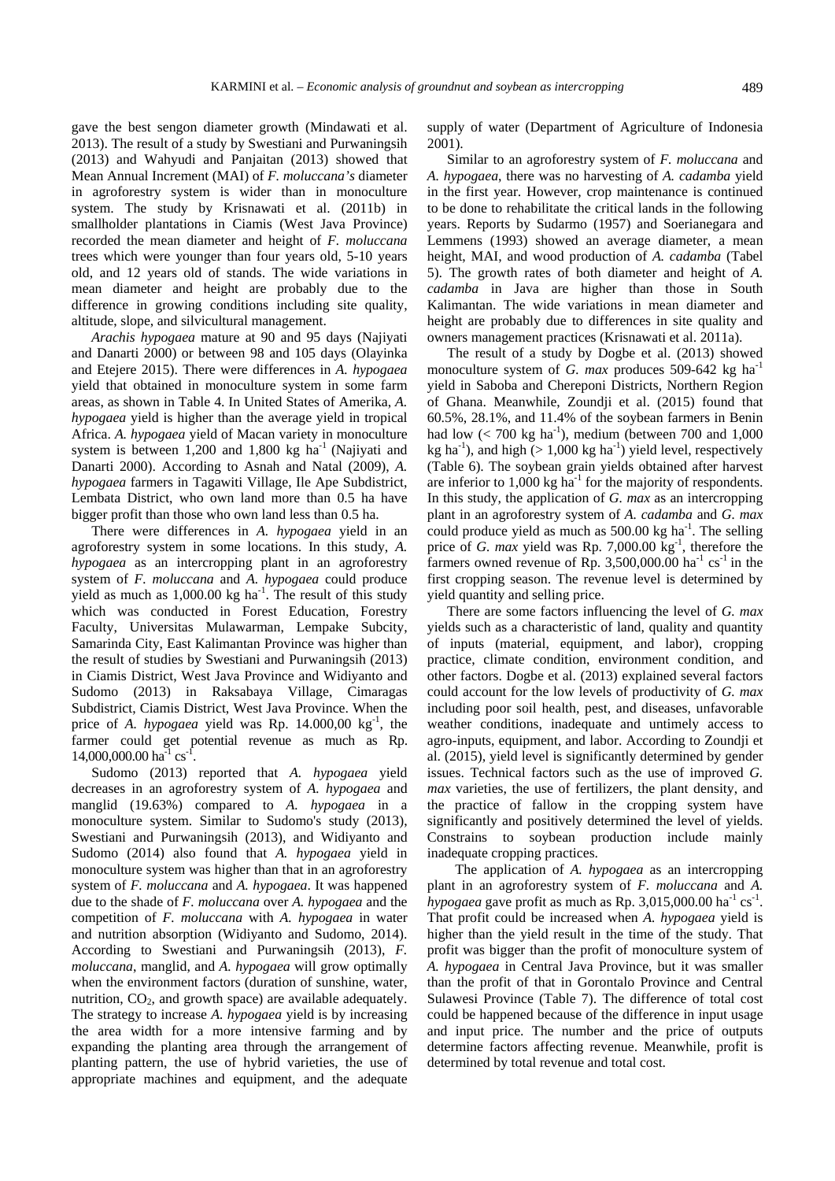gave the best sengon diameter growth (Mindawati et al. 2013). The result of a study by Swestiani and Purwaningsih (2013) and Wahyudi and Panjaitan (2013) showed that Mean Annual Increment (MAI) of *F. moluccana's* diameter in agroforestry system is wider than in monoculture system. The study by Krisnawati et al. (2011b) in smallholder plantations in Ciamis (West Java Province) recorded the mean diameter and height of *F. moluccana* trees which were younger than four years old, 5-10 years old, and 12 years old of stands. The wide variations in mean diameter and height are probably due to the difference in growing conditions including site quality, altitude, slope, and silvicultural management.

*Arachis hypogaea* mature at 90 and 95 days (Najiyati and Danarti 2000) or between 98 and 105 days (Olayinka and Etejere 2015). There were differences in *A. hypogaea* yield that obtained in monoculture system in some farm areas, as shown in Table 4. In United States of Amerika, *A. hypogaea* yield is higher than the average yield in tropical Africa. *A. hypogaea* yield of Macan variety in monoculture system is between  $1,200$  and  $1,800$  kg ha<sup>-1</sup> (Najiyati and Danarti 2000). According to Asnah and Natal (2009), *A. hypogaea* farmers in Tagawiti Village, Ile Ape Subdistrict, Lembata District, who own land more than 0.5 ha have bigger profit than those who own land less than 0.5 ha.

There were differences in *A. hypogaea* yield in an agroforestry system in some locations. In this study, *A. hypogaea* as an intercropping plant in an agroforestry system of *F. moluccana* and *A. hypogaea* could produce yield as much as  $1,000.00$  kg ha<sup>-1</sup>. The result of this study which was conducted in Forest Education, Forestry Faculty, Universitas Mulawarman, Lempake Subcity, Samarinda City, East Kalimantan Province was higher than the result of studies by Swestiani and Purwaningsih (2013) in Ciamis District, West Java Province and Widiyanto and Sudomo (2013) in Raksabaya Village, Cimaragas Subdistrict, Ciamis District, West Java Province. When the price of *A. hypogaea* yield was Rp. 14.000,00 kg<sup>-1</sup>, the farmer could get potential revenue as much as Rp.  $14,000,000.00$  ha<sup>-1</sup> cs<sup>-1</sup>.

Sudomo (2013) reported that *A. hypogaea* yield decreases in an agroforestry system of *A. hypogaea* and manglid (19.63%) compared to *A. hypogaea* in a monoculture system. Similar to Sudomo's study (2013), Swestiani and Purwaningsih (2013), and Widiyanto and Sudomo (2014) also found that *A. hypogaea* yield in monoculture system was higher than that in an agroforestry system of *F. moluccana* and *A. hypogaea*. It was happened due to the shade of *F. moluccana* over *A. hypogaea* and the competition of *F. moluccana* with *A. hypogaea* in water and nutrition absorption (Widiyanto and Sudomo, 2014). According to Swestiani and Purwaningsih (2013), *F. moluccana*, manglid, and *A. hypogaea* will grow optimally when the environment factors (duration of sunshine, water, nutrition,  $CO<sub>2</sub>$ , and growth space) are available adequately. The strategy to increase *A. hypogaea* yield is by increasing the area width for a more intensive farming and by expanding the planting area through the arrangement of planting pattern, the use of hybrid varieties, the use of appropriate machines and equipment, and the adequate supply of water (Department of Agriculture of Indonesia 2001).

Similar to an agroforestry system of *F. moluccana* and *A. hypogaea*, there was no harvesting of *A. cadamba* yield in the first year. However, crop maintenance is continued to be done to rehabilitate the critical lands in the following years. Reports by Sudarmo (1957) and Soerianegara and Lemmens (1993) showed an average diameter, a mean height, MAI, and wood production of *A. cadamba* (Tabel 5). The growth rates of both diameter and height of *A. cadamba* in Java are higher than those in South Kalimantan. The wide variations in mean diameter and height are probably due to differences in site quality and owners management practices (Krisnawati et al. 2011a).

The result of a study by Dogbe et al. (2013) showed monoculture system of *G. max* produces 509-642 kg ha<sup>-1</sup> yield in Saboba and Chereponi Districts, Northern Region of Ghana. Meanwhile, Zoundji et al. (2015) found that 60.5%, 28.1%, and 11.4% of the soybean farmers in Benin had low  $(< 700 \text{ kg ha}^{-1})$ , medium (between 700 and 1,000 kg ha<sup>-1</sup>), and high ( $> 1,000$  kg ha<sup>-1</sup>) yield level, respectively (Table 6). The soybean grain yields obtained after harvest are inferior to  $1,000 \text{ kg}$  ha<sup>-1</sup> for the majority of respondents. In this study, the application of *G. max* as an intercropping plant in an agroforestry system of *A. cadamba* and *G. max*  could produce yield as much as  $500.00 \text{ kg}$  ha<sup>-1</sup>. The selling price of *G. max* vield was Rp. 7,000.00  $kg^{-1}$ , therefore the farmers owned revenue of Rp. 3,500,000.00 ha<sup>-1</sup> cs<sup>-1</sup> in the first cropping season. The revenue level is determined by yield quantity and selling price.

There are some factors influencing the level of *G. max* yields such as a characteristic of land, quality and quantity of inputs (material, equipment, and labor), cropping practice, climate condition, environment condition, and other factors. Dogbe et al. (2013) explained several factors could account for the low levels of productivity of *G. max* including poor soil health, pest, and diseases, unfavorable weather conditions, inadequate and untimely access to agro-inputs, equipment, and labor. According to Zoundji et al. (2015), yield level is significantly determined by gender issues. Technical factors such as the use of improved *G. max* varieties, the use of fertilizers, the plant density, and the practice of fallow in the cropping system have significantly and positively determined the level of yields. Constrains to soybean production include mainly inadequate cropping practices.

The application of *A. hypogaea* as an intercropping plant in an agroforestry system of *F. moluccana* and *A. hypogaea* gave profit as much as Rp. 3,015,000.00 ha<sup>-1</sup> cs<sup>-1</sup>. That profit could be increased when *A. hypogaea* yield is higher than the yield result in the time of the study. That profit was bigger than the profit of monoculture system of *A. hypogaea* in Central Java Province, but it was smaller than the profit of that in Gorontalo Province and Central Sulawesi Province (Table 7). The difference of total cost could be happened because of the difference in input usage and input price. The number and the price of outputs determine factors affecting revenue. Meanwhile, profit is determined by total revenue and total cost.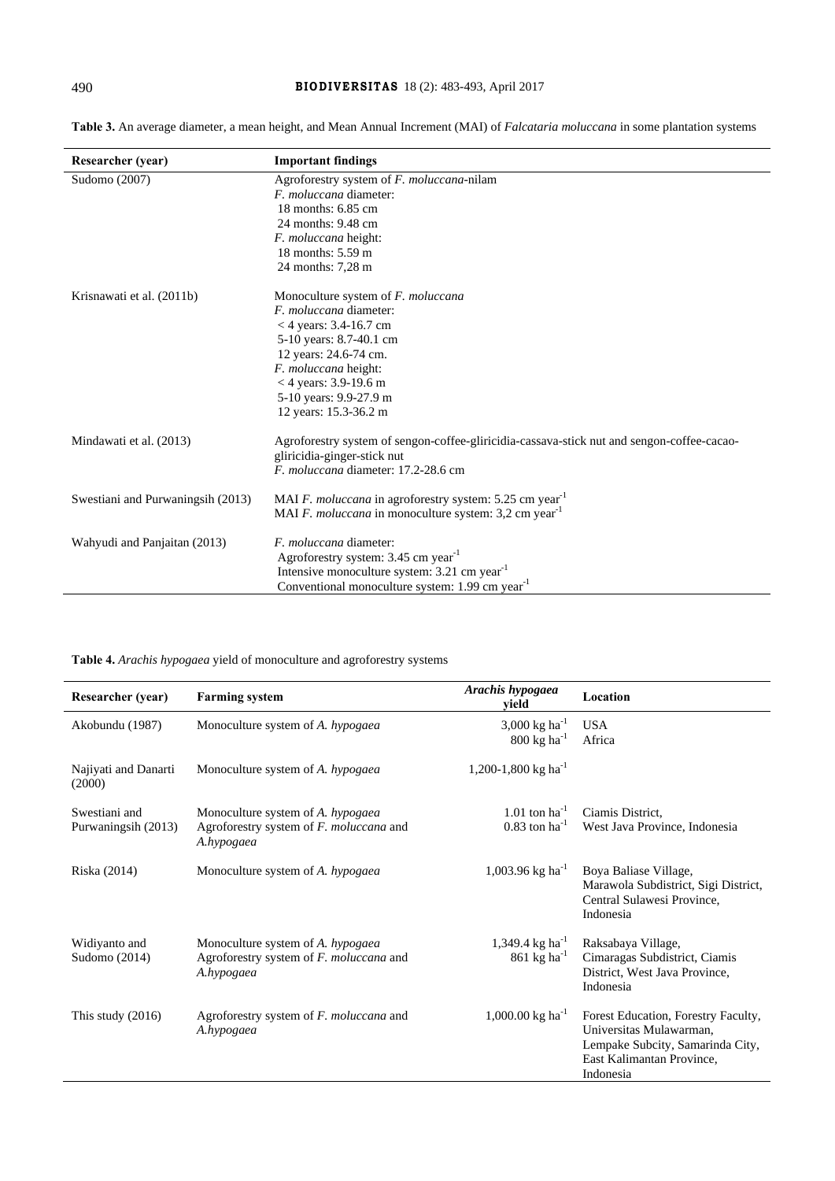| Researcher (year)                 | <b>Important findings</b>                                                                  |
|-----------------------------------|--------------------------------------------------------------------------------------------|
| Sudomo (2007)                     | Agroforestry system of F. moluccana-nilam                                                  |
|                                   | <i>F. moluccana</i> diameter:                                                              |
|                                   | 18 months: 6.85 cm                                                                         |
|                                   | 24 months: 9.48 cm                                                                         |
|                                   | <i>F. moluccana</i> height:                                                                |
|                                   | 18 months: $5.59 \text{ m}$                                                                |
|                                   | 24 months: 7,28 m                                                                          |
| Krisnawati et al. (2011b)         | Monoculture system of F. moluccana                                                         |
|                                   | F. moluccana diameter:                                                                     |
|                                   | <4 years: $3.4 - 16.7$ cm                                                                  |
|                                   | 5-10 years: 8.7-40.1 cm                                                                    |
|                                   | 12 years: 24.6-74 cm.                                                                      |
|                                   | F. moluccana height:                                                                       |
|                                   | $<$ 4 years: 3.9-19.6 m                                                                    |
|                                   | 5-10 years: 9.9-27.9 m                                                                     |
|                                   | 12 years: 15.3-36.2 m                                                                      |
| Mindawati et al. (2013)           | Agroforestry system of sengon-coffee-gliricidia-cassava-stick nut and sengon-coffee-cacao- |
|                                   | gliricidia-ginger-stick nut                                                                |
|                                   | F. moluccana diameter: 17.2-28.6 cm                                                        |
| Swestiani and Purwaningsih (2013) | MAI F. moluccana in agroforestry system: 5.25 cm year <sup>-1</sup>                        |
|                                   | MAI F. moluccana in monoculture system: 3,2 cm year <sup>-1</sup>                          |
| Wahyudi and Panjaitan (2013)      | <i>F. moluccana</i> diameter:                                                              |
|                                   | Agroforestry system: 3.45 cm year <sup>-1</sup>                                            |
|                                   | Intensive monoculture system: 3.21 cm year <sup>-1</sup>                                   |
|                                   | Conventional monoculture system: 1.99 cm year <sup>-1</sup>                                |

**Table 3.** An average diameter, a mean height, and Mean Annual Increment (MAI) of *Falcataria moluccana* in some plantation systems

**Table 4.** *Arachis hypogaea* yield of monoculture and agroforestry systems

| <b>Researcher (year)</b>         | <b>Farming system</b>                                                                      | Arachis hypogaea<br>vield                                     | Location                                                                                                                                     |
|----------------------------------|--------------------------------------------------------------------------------------------|---------------------------------------------------------------|----------------------------------------------------------------------------------------------------------------------------------------------|
| Akobundu (1987)                  | Monoculture system of A. hypogaea                                                          | 3,000 kg ha <sup>-1</sup><br>$800 \text{ kg} \text{ ha}^{-1}$ | <b>USA</b><br>Africa                                                                                                                         |
| Najiyati and Danarti<br>(2000)   | Monoculture system of A. hypogaea                                                          | 1,200-1,800 kg ha <sup>-1</sup>                               |                                                                                                                                              |
| Swestiani and                    | Monoculture system of A. hypogaea                                                          | $1.01$ ton ha <sup>-1</sup>                                   | Ciamis District,                                                                                                                             |
| Purwaningsih (2013)              | Agroforestry system of F. moluccana and<br>A.hypogaea                                      | $0.83$ ton ha <sup>-1</sup>                                   | West Java Province, Indonesia                                                                                                                |
| Riska (2014)                     | Monoculture system of A. hypogaea                                                          | 1,003.96 kg ha <sup>-1</sup>                                  | Boya Baliase Village,<br>Marawola Subdistrict, Sigi District,<br>Central Sulawesi Province,<br>Indonesia                                     |
| Widiyanto and<br>Sudomo $(2014)$ | Monoculture system of A. hypogaea<br>Agroforestry system of F. moluccana and<br>A.hypogaea | 1,349.4 kg ha <sup>-1</sup><br>861 kg ha $^{-1}$              | Raksabaya Village,<br>Cimaragas Subdistrict, Ciamis<br>District, West Java Province,<br>Indonesia                                            |
| This study $(2016)$              | Agroforestry system of F. moluccana and<br>A.hypogaea                                      | $1,000.00$ kg ha <sup>-1</sup>                                | Forest Education, Forestry Faculty,<br>Universitas Mulawarman,<br>Lempake Subcity, Samarinda City,<br>East Kalimantan Province,<br>Indonesia |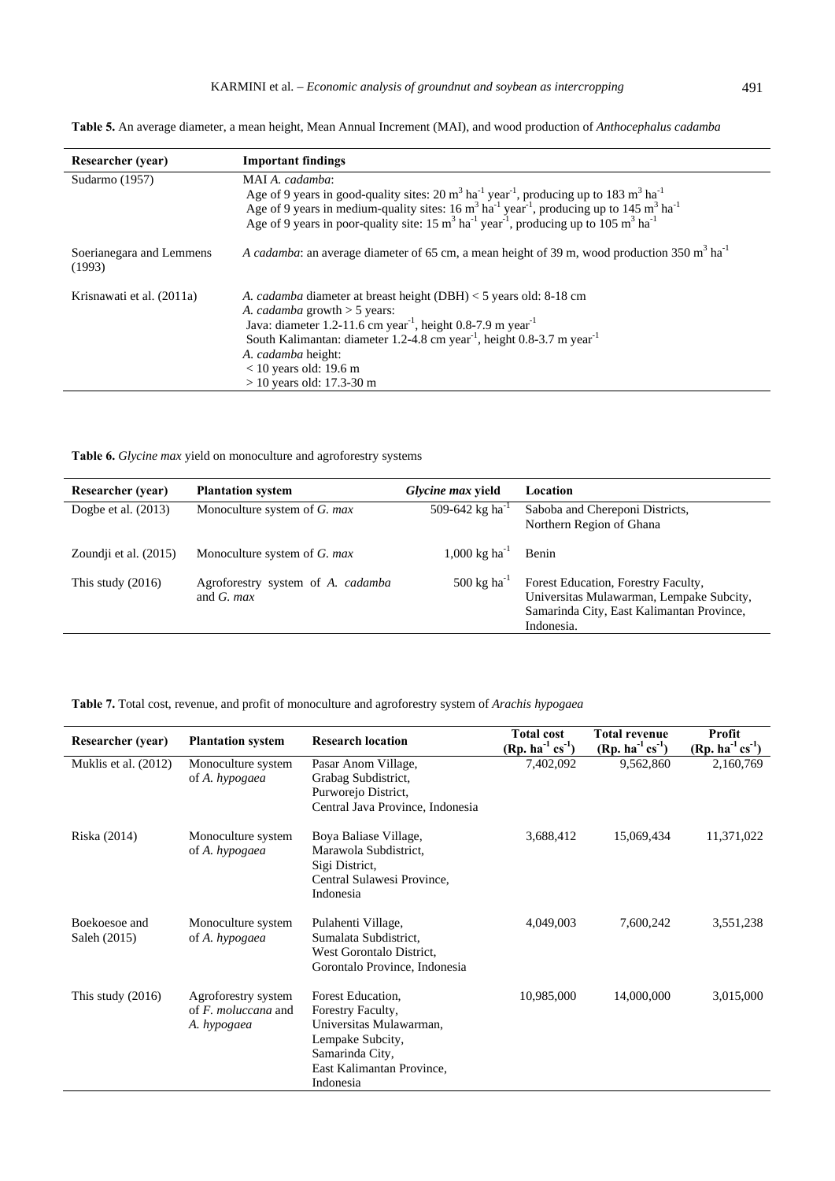**Table 5.** An average diameter, a mean height, Mean Annual Increment (MAI), and wood production of *Anthocephalus cadamba*

| <b>Researcher</b> (year)           | <b>Important findings</b>                                                                                                                                                                                                                                                                                                                                                                                                                         |
|------------------------------------|---------------------------------------------------------------------------------------------------------------------------------------------------------------------------------------------------------------------------------------------------------------------------------------------------------------------------------------------------------------------------------------------------------------------------------------------------|
| Sudarmo (1957)                     | MAI A. cadamba:<br>Age of 9 years in good-quality sites: 20 $m3$ ha <sup>-1</sup> year <sup>-1</sup> , producing up to 183 $m3$ ha <sup>-1</sup><br>Age of 9 years in medium-quality sites: $16 \text{ m}^3 \text{ ha}^{-1} \text{ year}^{-1}$ , producing up to $145 \text{ m}^3 \text{ ha}^{-1}$<br>Age of 9 years in poor-quality site: $15 \text{ m}^3 \text{ ha}^{-1} \text{ year}^{-1}$ , producing up to $105 \text{ m}^3 \text{ ha}^{-1}$ |
| Soerianegara and Lemmens<br>(1993) | A cadamba: an average diameter of 65 cm, a mean height of 39 m, wood production 350 m <sup>3</sup> ha <sup>-1</sup>                                                                                                                                                                                                                                                                                                                               |
| Krisnawati et al. (2011a)          | A. <i>cadamba</i> diameter at breast height (DBH) $<$ 5 years old: 8-18 cm<br>A. <i>cadamba</i> growth $>$ 5 years:<br>Java: diameter 1.2-11.6 cm year <sup>1</sup> , height 0.8-7.9 m year <sup>1</sup><br>South Kalimantan: diameter 1.2-4.8 cm year <sup>-1</sup> , height 0.8-3.7 m year <sup>-1</sup><br>A. cadamba height:<br>$<$ 10 years old: 19.6 m<br>$> 10$ years old: 17.3-30 m                                                       |

**Table 6.** *Glycine max* yield on monoculture and agroforestry systems

| <b>Researcher</b> (year) | <b>Plantation system</b>                           | Glycine max yield                  | Location                                                                                                                                   |
|--------------------------|----------------------------------------------------|------------------------------------|--------------------------------------------------------------------------------------------------------------------------------------------|
| Dogbe et al. $(2013)$    | Monoculture system of G. max                       | 509-642 kg ha <sup>-1</sup>        | Saboba and Chereponi Districts,<br>Northern Region of Ghana                                                                                |
| Zoundji et al. (2015)    | Monoculture system of G. max                       | $1,000 \text{ kg} \text{ ha}^{-1}$ | Benin                                                                                                                                      |
| This study $(2016)$      | Agroforestry system of A. cadamba<br>and $G$ , max | $500 \text{ kg} \text{ ha}^{-1}$   | Forest Education, Forestry Faculty,<br>Universitas Mulawarman, Lempake Subcity,<br>Samarinda City, East Kalimantan Province,<br>Indonesia. |

**Table 7.** Total cost, revenue, and profit of monoculture and agroforestry system of *Arachis hypogaea*

| <b>Researcher</b> (year)      | <b>Plantation system</b>                                            | <b>Research location</b>                                                                                                                           | <b>Total cost</b><br>$(Rp. ha^{-1} cs^{-1})$ | <b>Total revenue</b><br>$(Rp. ha^{-1} cs^{-1})$ | Profit<br>$(Rp. ha^{-1} cs^{-1})$ |
|-------------------------------|---------------------------------------------------------------------|----------------------------------------------------------------------------------------------------------------------------------------------------|----------------------------------------------|-------------------------------------------------|-----------------------------------|
| Muklis et al. (2012)          | Monoculture system<br>of A. hypogaea                                | Pasar Anom Village,<br>Grabag Subdistrict,<br>Purworejo District,<br>Central Java Province, Indonesia                                              | 7,402,092                                    | 9,562,860                                       | 2,160,769                         |
| Riska (2014)                  | Monoculture system<br>of A. hypogaea                                | Boya Baliase Village,<br>Marawola Subdistrict,<br>Sigi District,<br>Central Sulawesi Province,<br>Indonesia                                        | 3,688,412                                    | 15,069,434                                      | 11,371,022                        |
| Boekoesoe and<br>Saleh (2015) | Monoculture system<br>of A. hypogaea                                | Pulahenti Village,<br>Sumalata Subdistrict,<br>West Gorontalo District,<br>Gorontalo Province, Indonesia                                           | 4,049,003                                    | 7,600,242                                       | 3,551,238                         |
| This study $(2016)$           | Agroforestry system<br>of $F$ , <i>moluccana</i> and<br>A. hypogaea | Forest Education,<br>Forestry Faculty,<br>Universitas Mulawarman,<br>Lempake Subcity,<br>Samarinda City,<br>East Kalimantan Province,<br>Indonesia | 10,985,000                                   | 14,000,000                                      | 3,015,000                         |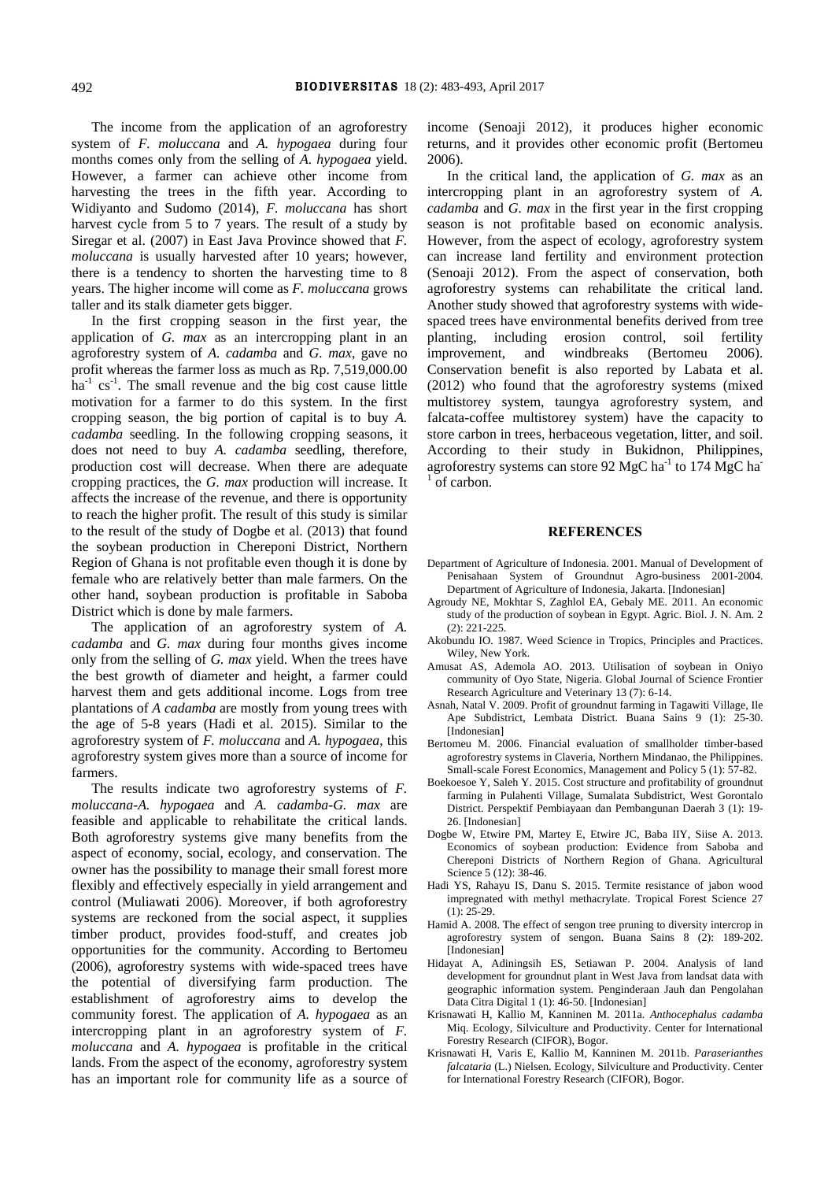The income from the application of an agroforestry system of *F. moluccana* and *A. hypogaea* during four months comes only from the selling of *A. hypogaea* yield. However, a farmer can achieve other income from harvesting the trees in the fifth year. According to Widiyanto and Sudomo (2014), *F. moluccana* has short harvest cycle from 5 to 7 years. The result of a study by Siregar et al. (2007) in East Java Province showed that *F. moluccana* is usually harvested after 10 years; however, there is a tendency to shorten the harvesting time to 8 years. The higher income will come as *F. moluccana* grows taller and its stalk diameter gets bigger.

In the first cropping season in the first year, the application of *G. max* as an intercropping plant in an agroforestry system of *A. cadamba* and *G. max*, gave no profit whereas the farmer loss as much as Rp. 7,519,000.00  $ha^{-1}$  cs<sup>-1</sup>. The small revenue and the big cost cause little motivation for a farmer to do this system. In the first cropping season, the big portion of capital is to buy *A. cadamba* seedling. In the following cropping seasons, it does not need to buy *A. cadamba* seedling, therefore, production cost will decrease. When there are adequate cropping practices, the *G. max* production will increase. It affects the increase of the revenue, and there is opportunity to reach the higher profit. The result of this study is similar to the result of the study of Dogbe et al. (2013) that found the soybean production in Chereponi District, Northern Region of Ghana is not profitable even though it is done by female who are relatively better than male farmers. On the other hand, soybean production is profitable in Saboba District which is done by male farmers.

The application of an agroforestry system of *A. cadamba* and *G. max* during four months gives income only from the selling of *G. max* yield. When the trees have the best growth of diameter and height, a farmer could harvest them and gets additional income. Logs from tree plantations of *A cadamba* are mostly from young trees with the age of 5-8 years (Hadi et al. 2015). Similar to the agroforestry system of *F. moluccana* and *A. hypogaea*, this agroforestry system gives more than a source of income for farmers.

The results indicate two agroforestry systems of *F. moluccana-A. hypogaea* and *A. cadamba-G. max* are feasible and applicable to rehabilitate the critical lands. Both agroforestry systems give many benefits from the aspect of economy, social, ecology, and conservation. The owner has the possibility to manage their small forest more flexibly and effectively especially in yield arrangement and control (Muliawati 2006). Moreover, if both agroforestry systems are reckoned from the social aspect, it supplies timber product, provides food-stuff, and creates job opportunities for the community. According to Bertomeu (2006), agroforestry systems with wide-spaced trees have the potential of diversifying farm production. The establishment of agroforestry aims to develop the community forest. The application of *A. hypogaea* as an intercropping plant in an agroforestry system of *F. moluccana* and *A. hypogaea* is profitable in the critical lands. From the aspect of the economy, agroforestry system has an important role for community life as a source of

income (Senoaji 2012), it produces higher economic returns, and it provides other economic profit (Bertomeu 2006).

In the critical land, the application of *G. max* as an intercropping plant in an agroforestry system of *A. cadamba* and *G. max* in the first year in the first cropping season is not profitable based on economic analysis. However, from the aspect of ecology, agroforestry system can increase land fertility and environment protection (Senoaji 2012). From the aspect of conservation, both agroforestry systems can rehabilitate the critical land. Another study showed that agroforestry systems with widespaced trees have environmental benefits derived from tree planting, including erosion control, soil fertility improvement, and windbreaks (Bertomeu 2006). Conservation benefit is also reported by Labata et al. (2012) who found that the agroforestry systems (mixed multistorey system, taungya agroforestry system, and falcata-coffee multistorey system) have the capacity to store carbon in trees, herbaceous vegetation, litter, and soil. According to their study in Bukidnon, Philippines, agroforestry systems can store 92 MgC ha<sup>-1</sup> to 174 MgC ha<sup>-1</sup> <sup>1</sup> of carbon.

#### **REFERENCES**

- Department of Agriculture of Indonesia. 2001. Manual of Development of Penisahaan System of Groundnut Agro-business 2001-2004. Department of Agriculture of Indonesia, Jakarta. [Indonesian]
- Agroudy NE, Mokhtar S, Zaghlol EA, Gebaly ME. 2011. An economic study of the production of soybean in Egypt. Agric. Biol. J. N. Am. 2 (2): 221-225.
- Akobundu IO. 1987. Weed Science in Tropics, Principles and Practices. Wiley, New York.
- Amusat AS, Ademola AO. 2013. Utilisation of soybean in Oniyo community of Oyo State, Nigeria. Global Journal of Science Frontier Research Agriculture and Veterinary 13 (7): 6-14.
- Asnah, Natal V. 2009. Profit of groundnut farming in Tagawiti Village, Ile Ape Subdistrict, Lembata District. Buana Sains 9 (1): 25-30. [Indonesian]
- Bertomeu M. 2006. Financial evaluation of smallholder timber-based agroforestry systems in Claveria, Northern Mindanao, the Philippines. Small-scale Forest Economics, Management and Policy 5 (1): 57-82.
- Boekoesoe Y, Saleh Y. 2015. Cost structure and profitability of groundnut farming in Pulahenti Village, Sumalata Subdistrict, West Gorontalo District. Perspektif Pembiayaan dan Pembangunan Daerah 3 (1): 19- 26. [Indonesian]
- Dogbe W, Etwire PM, Martey E, Etwire JC, Baba IIY, Siise A. 2013. Economics of soybean production: Evidence from Saboba and Chereponi Districts of Northern Region of Ghana. Agricultural Science 5 (12): 38-46.
- Hadi YS, Rahayu IS, Danu S. 2015. Termite resistance of jabon wood impregnated with methyl methacrylate. Tropical Forest Science 27 (1): 25-29.
- Hamid A. 2008. The effect of sengon tree pruning to diversity intercrop in agroforestry system of sengon. Buana Sains 8 (2): 189-202. [Indonesian]
- Hidayat A, Adiningsih ES, Setiawan P. 2004. Analysis of land development for groundnut plant in West Java from landsat data with geographic information system. Penginderaan Jauh dan Pengolahan Data Citra Digital 1 (1): 46-50. [Indonesian]
- Krisnawati H, Kallio M, Kanninen M. 2011a. *Anthocephalus cadamba* Miq. Ecology, Silviculture and Productivity. Center for International Forestry Research (CIFOR), Bogor.
- Krisnawati H, Varis E, Kallio M, Kanninen M. 2011b. *Paraserianthes falcataria* (L.) Nielsen. Ecology, Silviculture and Productivity. Center for International Forestry Research (CIFOR), Bogor.